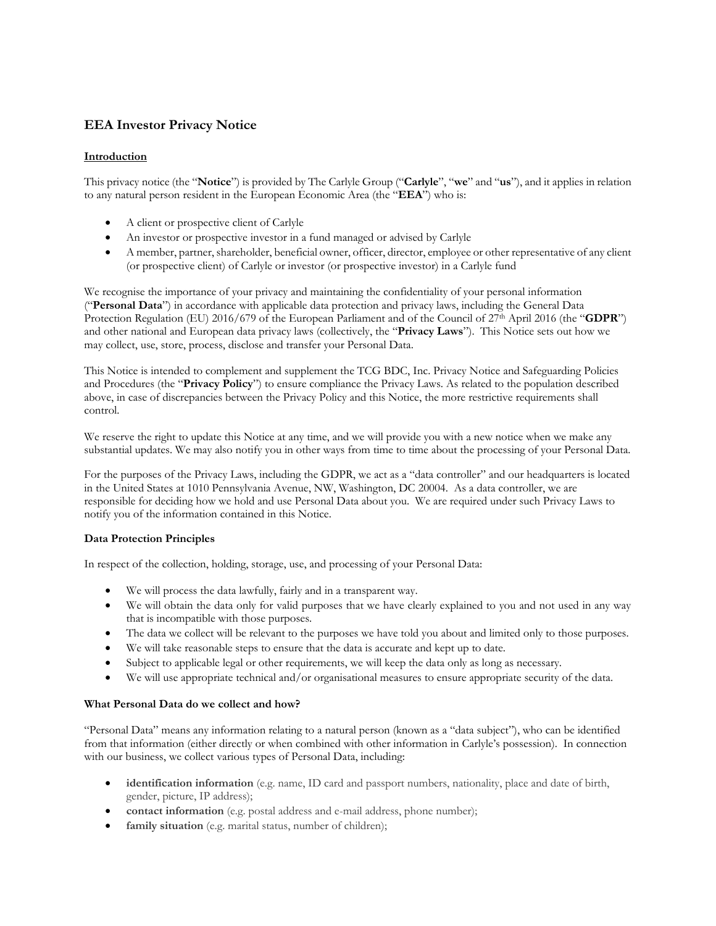# **EEA Investor Privacy Notice**

## **Introduction**

This privacy notice (the "**Notice**") is provided by The Carlyle Group ("**Carlyle**", "**we**" and "**us**"), and it applies in relation to any natural person resident in the European Economic Area (the "**EEA**") who is:

- A client or prospective client of Carlyle
- An investor or prospective investor in a fund managed or advised by Carlyle
- A member, partner, shareholder, beneficial owner, officer, director, employee or other representative of any client (or prospective client) of Carlyle or investor (or prospective investor) in a Carlyle fund

We recognise the importance of your privacy and maintaining the confidentiality of your personal information ("**Personal Data**") in accordance with applicable data protection and privacy laws, including the General Data Protection Regulation (EU) 2016/679 of the European Parliament and of the Council of 27<sup>th</sup> April 2016 (the "**GDPR**") and other national and European data privacy laws (collectively, the "**Privacy Laws**"). This Notice sets out how we may collect, use, store, process, disclose and transfer your Personal Data.

This Notice is intended to complement and supplement the TCG BDC, Inc. Privacy Notice and Safeguarding Policies and Procedures (the "**Privacy Policy**") to ensure compliance the Privacy Laws. As related to the population described above, in case of discrepancies between the Privacy Policy and this Notice, the more restrictive requirements shall control.

We reserve the right to update this Notice at any time, and we will provide you with a new notice when we make any substantial updates. We may also notify you in other ways from time to time about the processing of your Personal Data.

For the purposes of the Privacy Laws, including the GDPR, we act as a "data controller" and our headquarters is located in the United States at 1010 Pennsylvania Avenue, NW, Washington, DC 20004. As a data controller, we are responsible for deciding how we hold and use Personal Data about you. We are required under such Privacy Laws to notify you of the information contained in this Notice.

## **Data Protection Principles**

In respect of the collection, holding, storage, use, and processing of your Personal Data:

- We will process the data lawfully, fairly and in a transparent way.
- We will obtain the data only for valid purposes that we have clearly explained to you and not used in any way that is incompatible with those purposes.
- The data we collect will be relevant to the purposes we have told you about and limited only to those purposes.
- We will take reasonable steps to ensure that the data is accurate and kept up to date.
- Subject to applicable legal or other requirements, we will keep the data only as long as necessary.
- We will use appropriate technical and/or organisational measures to ensure appropriate security of the data.

## **What Personal Data do we collect and how?**

"Personal Data" means any information relating to a natural person (known as a "data subject"), who can be identified from that information (either directly or when combined with other information in Carlyle's possession). In connection with our business, we collect various types of Personal Data, including:

- **identification information** (e.g. name, ID card and passport numbers, nationality, place and date of birth, gender, picture, IP address);
- **contact information** (e.g. postal address and e-mail address, phone number);
- **family situation** (e.g. marital status, number of children);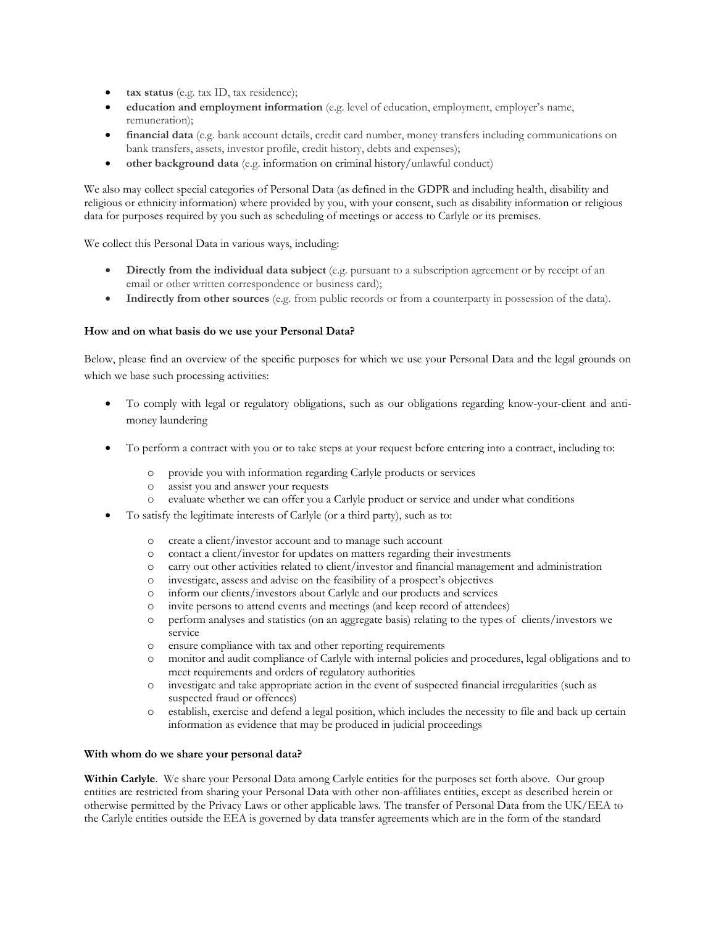- **tax status** (e.g. tax ID, tax residence);
- **education and employment information** (e.g. level of education, employment, employer's name, remuneration);
- **financial data** (e.g. bank account details, credit card number, money transfers including communications on bank transfers, assets, investor profile, credit history, debts and expenses);
- **other background data** (e.g. information on criminal history/unlawful conduct)

We also may collect special categories of Personal Data (as defined in the GDPR and including health, disability and religious or ethnicity information) where provided by you, with your consent, such as disability information or religious data for purposes required by you such as scheduling of meetings or access to Carlyle or its premises.

We collect this Personal Data in various ways, including:

- **•** Directly from the individual data subject (e.g. pursuant to a subscription agreement or by receipt of an email or other written correspondence or business card);
- **Indirectly from other sources** (e.g. from public records or from a counterparty in possession of the data).

### **How and on what basis do we use your Personal Data?**

Below, please find an overview of the specific purposes for which we use your Personal Data and the legal grounds on which we base such processing activities:

- To comply with legal or regulatory obligations, such as our obligations regarding know-your-client and antimoney laundering
- To perform a contract with you or to take steps at your request before entering into a contract, including to:
	- o provide you with information regarding Carlyle products or services
	- o assist you and answer your requests
	- o evaluate whether we can offer you a Carlyle product or service and under what conditions
	- To satisfy the legitimate interests of Carlyle (or a third party), such as to:
		- o create a client/investor account and to manage such account
		- o contact a client/investor for updates on matters regarding their investments
		- o carry out other activities related to client/investor and financial management and administration
		- o investigate, assess and advise on the feasibility of a prospect's objectives
		- o inform our clients/investors about Carlyle and our products and services
		- o invite persons to attend events and meetings (and keep record of attendees)
		- o perform analyses and statistics (on an aggregate basis) relating to the types of clients/investors we service
		- o ensure compliance with tax and other reporting requirements
		- o monitor and audit compliance of Carlyle with internal policies and procedures, legal obligations and to meet requirements and orders of regulatory authorities
		- o investigate and take appropriate action in the event of suspected financial irregularities (such as suspected fraud or offences)
		- o establish, exercise and defend a legal position, which includes the necessity to file and back up certain information as evidence that may be produced in judicial proceedings

#### **With whom do we share your personal data?**

Within Carlyle. We share your Personal Data among Carlyle entities for the purposes set forth above. Our group entities are restricted from sharing your Personal Data with other non-affiliates entities, except as described herein or otherwise permitted by the Privacy Laws or other applicable laws. The transfer of Personal Data from the UK/EEA to the Carlyle entities outside the EEA is governed by data transfer agreements which are in the form of the standard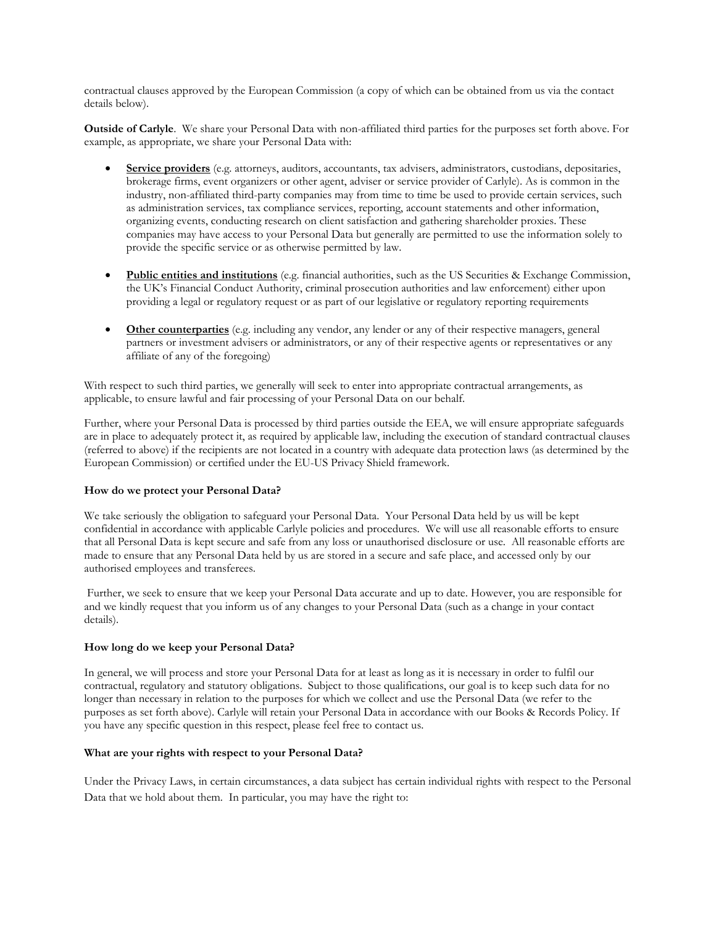contractual clauses approved by the European Commission (a copy of which can be obtained from us via the contact details below).

**Outside of Carlyle**. We share your Personal Data with non-affiliated third parties for the purposes set forth above. For example, as appropriate, we share your Personal Data with:

- **Service providers** (e.g. attorneys, auditors, accountants, tax advisers, administrators, custodians, depositaries, brokerage firms, event organizers or other agent, adviser or service provider of Carlyle). As is common in the industry, non-affiliated third-party companies may from time to time be used to provide certain services, such as administration services, tax compliance services, reporting, account statements and other information, organizing events, conducting research on client satisfaction and gathering shareholder proxies. These companies may have access to your Personal Data but generally are permitted to use the information solely to provide the specific service or as otherwise permitted by law.
- **Public entities and institutions** (e.g. financial authorities, such as the US Securities & Exchange Commission, the UK's Financial Conduct Authority, criminal prosecution authorities and law enforcement) either upon providing a legal or regulatory request or as part of our legislative or regulatory reporting requirements
- **Other counterparties** (e.g. including any vendor, any lender or any of their respective managers, general partners or investment advisers or administrators, or any of their respective agents or representatives or any affiliate of any of the foregoing)

With respect to such third parties, we generally will seek to enter into appropriate contractual arrangements, as applicable, to ensure lawful and fair processing of your Personal Data on our behalf.

Further, where your Personal Data is processed by third parties outside the EEA, we will ensure appropriate safeguards are in place to adequately protect it, as required by applicable law, including the execution of standard contractual clauses (referred to above) if the recipients are not located in a country with adequate data protection laws (as determined by the European Commission) or certified under the EU-US Privacy Shield framework.

#### **How do we protect your Personal Data?**

We take seriously the obligation to safeguard your Personal Data. Your Personal Data held by us will be kept confidential in accordance with applicable Carlyle policies and procedures. We will use all reasonable efforts to ensure that all Personal Data is kept secure and safe from any loss or unauthorised disclosure or use. All reasonable efforts are made to ensure that any Personal Data held by us are stored in a secure and safe place, and accessed only by our authorised employees and transferees.

Further, we seek to ensure that we keep your Personal Data accurate and up to date. However, you are responsible for and we kindly request that you inform us of any changes to your Personal Data (such as a change in your contact details).

#### **How long do we keep your Personal Data?**

In general, we will process and store your Personal Data for at least as long as it is necessary in order to fulfil our contractual, regulatory and statutory obligations. Subject to those qualifications, our goal is to keep such data for no longer than necessary in relation to the purposes for which we collect and use the Personal Data (we refer to the purposes as set forth above). Carlyle will retain your Personal Data in accordance with our Books & Records Policy. If you have any specific question in this respect, please feel free to contact us.

#### **What are your rights with respect to your Personal Data?**

Under the Privacy Laws, in certain circumstances, a data subject has certain individual rights with respect to the Personal Data that we hold about them. In particular, you may have the right to: